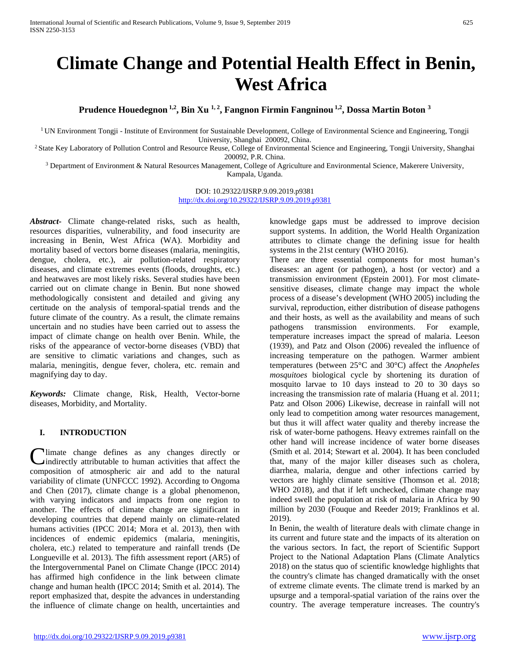# **Climate Change and Potential Health Effect in Benin, West Africa**

Prudence Houedegnon<sup>1,2</sup>, Bin Xu<sup>1,2</sup>, Fangnon Firmin Fangninou<sup>1,2</sup>, Dossa Martin Boton<sup>3</sup>

<sup>1</sup> UN Environment Tongji - Institute of Environment for Sustainable Development, College of Environmental Science and Engineering, Tongji University, Shanghai 200092, China.

<sup>2</sup> State Key Laboratory of Pollution Control and Resource Reuse, College of Environmental Science and Engineering, Tongji University, Shanghai 200092, P.R. China.

 $3$  Department of Environment & Natural Resources Management, College of Agriculture and Environmental Science, Makerere University,

Kampala, Uganda.

DOI: 10.29322/IJSRP.9.09.2019.p9381 <http://dx.doi.org/10.29322/IJSRP.9.09.2019.p9381>

*Abstract***-** Climate change-related risks, such as health, resources disparities, vulnerability, and food insecurity are increasing in Benin, West Africa (WA). Morbidity and mortality based of vectors borne diseases (malaria, meningitis, dengue, cholera, etc.), air pollution-related respiratory diseases, and climate extremes events (floods, droughts, etc.) and heatwaves are most likely risks. Several studies have been carried out on climate change in Benin. But none showed methodologically consistent and detailed and giving any certitude on the analysis of temporal-spatial trends and the future climate of the country. As a result, the climate remains uncertain and no studies have been carried out to assess the impact of climate change on health over Benin. While, the risks of the appearance of vector-borne diseases (VBD) that are sensitive to climatic variations and changes, such as malaria, meningitis, dengue fever, cholera, etc. remain and magnifying day to day.

*Keywords:* Climate change, Risk, Health, Vector-borne diseases, Morbidity, and Mortality.

# **I. INTRODUCTION**

**Illectrical intervalse defines** as any changes directly or indirectly attributable to human activities that affect the **C**limate change defines as any changes directly or indirectly attributable to human activities that affect the composition of atmospheric air and add to the natural variability of climate (UNFCCC 1992). According to Ongoma and Chen (2017), climate change is a global phenomenon, with varying indicators and impacts from one region to another. The effects of climate change are significant in developing countries that depend mainly on climate-related humans activities (IPCC 2014; Mora et al. 2013), then with incidences of endemic epidemics (malaria, meningitis, cholera, etc.) related to temperature and rainfall trends (De Longueville et al. 2013). The fifth assessment report (AR5) of the Intergovernmental Panel on Climate Change (IPCC 2014) has affirmed high confidence in the link between climate change and human health (IPCC 2014; Smith et al. 2014). The report emphasized that, despite the advances in understanding the influence of climate change on health, uncertainties and

knowledge gaps must be addressed to improve decision support systems. In addition, the World Health Organization attributes to climate change the defining issue for health systems in the 21st century (WHO 2016).

There are three essential components for most human's diseases: an agent (or pathogen), a host (or vector) and a transmission environment (Epstein 2001). For most climatesensitive diseases, climate change may impact the whole process of a disease's development (WHO 2005) including the survival, reproduction, either distribution of disease pathogens and their hosts, as well as the availability and means of such pathogens transmission environments. For example, temperature increases impact the spread of malaria. Leeson (1939), and Patz and Olson (2006) revealed the influence of increasing temperature on the pathogen. Warmer ambient temperatures (between 25°C and 30°C) affect the *Anopheles mosquitoes* biological cycle by shortening its duration of mosquito larvae to 10 days instead to 20 to 30 days so increasing the transmission rate of malaria (Huang et al. 2011; Patz and Olson 2006) Likewise, decrease in rainfall will not only lead to competition among water resources management, but thus it will affect water quality and thereby increase the risk of water-borne pathogens. Heavy extremes rainfall on the other hand will increase incidence of water borne diseases (Smith et al. 2014; Stewart et al. 2004). It has been concluded that, many of the major killer diseases such as cholera, diarrhea, malaria, dengue and other infections carried by vectors are highly climate sensitive (Thomson et al. 2018; WHO 2018), and that if left unchecked, climate change may indeed swell the population at risk of malaria in Africa by 90 million by 2030 (Fouque and Reeder 2019; Franklinos et al. 2019).

In Benin, the wealth of literature deals with climate change in its current and future state and the impacts of its alteration on the various sectors. In fact, the report of Scientific Support Project to the National Adaptation Plans (Climate Analytics 2018) on the status quo of scientific knowledge highlights that the country's climate has changed dramatically with the onset of extreme climate events. The climate trend is marked by an upsurge and a temporal-spatial variation of the rains over the country. The average temperature increases. The country's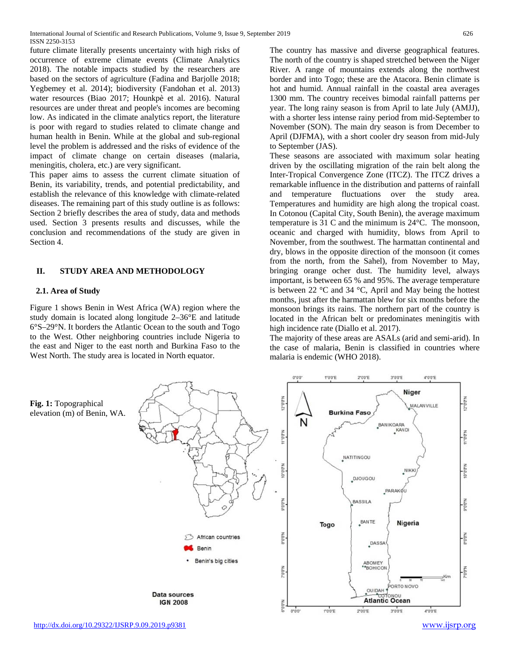future climate literally presents uncertainty with high risks of occurrence of extreme climate events (Climate Analytics 2018). The notable impacts studied by the researchers are based on the sectors of agriculture (Fadina and Barjolle 2018; Yegbemey et al. 2014); biodiversity (Fandohan et al. 2013) water resources (Biao 2017; Hounkpè et al. 2016). Natural resources are under threat and people's incomes are becoming low. As indicated in the climate analytics report, the literature is poor with regard to studies related to climate change and human health in Benin. While at the global and sub-regional level the problem is addressed and the risks of evidence of the impact of climate change on certain diseases (malaria, meningitis, cholera, etc.) are very significant.

This paper aims to assess the current climate situation of Benin, its variability, trends, and potential predictability, and establish the relevance of this knowledge with climate-related diseases. The remaining part of this study outline is as follows: Section 2 briefly describes the area of study, data and methods used. Section 3 presents results and discusses, while the conclusion and recommendations of the study are given in Section 4.

#### **II. STUDY AREA AND METHODOLOGY**

#### **2.1. Area of Study**

Figure 1 shows Benin in West Africa (WA) region where the study domain is located along longitude 2–36°E and latitude 6°S–29°N. It borders the Atlantic Ocean to the south and Togo to the West. Other neighboring countries include Nigeria to the east and Niger to the east north and Burkina Faso to the West North. The study area is located in North equator.

The country has massive and diverse geographical features. The north of the country is shaped stretched between the Niger River. A range of mountains extends along the northwest border and into Togo; these are the Atacora. Benin climate is hot and humid. Annual rainfall in the coastal area averages 1300 mm. The country receives bimodal rainfall patterns per year. The long rainy season is from April to late July (AMJJ), with a shorter less intense rainy period from mid-September to November (SON). The main dry season is from December to April (DJFMA), with a short cooler dry season from mid-July to September (JAS).

These seasons are associated with maximum solar heating driven by the oscillating migration of the rain belt along the Inter-Tropical Convergence Zone (ITCZ). The ITCZ drives a remarkable influence in the distribution and patterns of rainfall and temperature fluctuations over the study area. Temperatures and humidity are high along the tropical coast. In Cotonou (Capital City, South Benin), the average maximum temperature is 31 C and the minimum is 24°C. The monsoon, oceanic and charged with humidity, blows from April to November, from the southwest. The harmattan continental and dry, blows in the opposite direction of the monsoon (it comes from the north, from the Sahel), from November to May, bringing orange ocher dust. The humidity level, always important, is between 65 % and 95%. The average temperature is between 22  $\degree$ C and 34  $\degree$ C, April and May being the hottest months, just after the harmattan blew for six months before the monsoon brings its rains. The northern part of the country is located in the African belt or predominates meningitis with high incidence rate (Diallo et al. 2017).

The majority of these areas are ASALs (arid and semi-arid). In the case of malaria, Benin is classified in countries where malaria is endemic (WHO 2018).

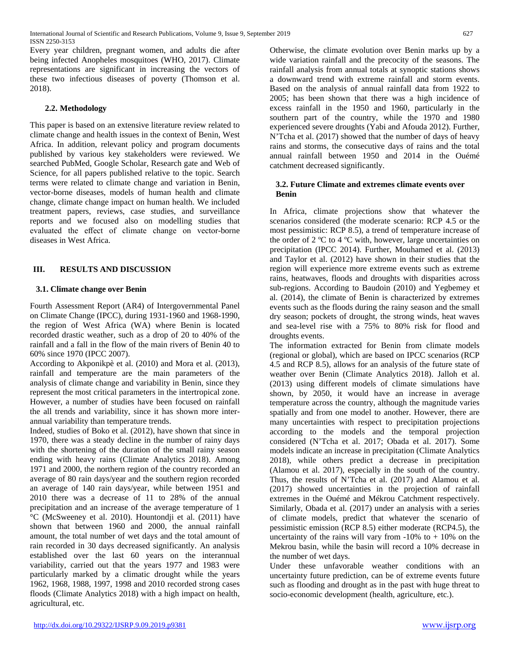Every year children, pregnant women, and adults die after being infected Anopheles mosquitoes (WHO, 2017). Climate representations are significant in increasing the vectors of these two infectious diseases of poverty (Thomson et al. 2018).

## **2.2. Methodology**

This paper is based on an extensive literature review related to climate change and health issues in the context of Benin, West Africa. In addition, relevant policy and program documents published by various key stakeholders were reviewed. We searched PubMed, Google Scholar, Research gate and Web of Science, for all papers published relative to the topic. Search terms were related to climate change and variation in Benin, vector-borne diseases, models of human health and climate change, climate change impact on human health. We included treatment papers, reviews, case studies, and surveillance reports and we focused also on modelling studies that evaluated the effect of climate change on vector-borne diseases in West Africa.

# **III. RESULTS AND DISCUSSION**

## **3.1. Climate change over Benin**

Fourth Assessment Report (AR4) of Intergovernmental Panel on Climate Change (IPCC), during 1931-1960 and 1968-1990, the region of West Africa (WA) where Benin is located recorded drastic weather, such as a drop of 20 to 40% of the rainfall and a fall in the flow of the main rivers of Benin 40 to 60% since 1970 (IPCC 2007).

According to Akponikpè et al. (2010) and Mora et al. (2013), rainfall and temperature are the main parameters of the analysis of climate change and variability in Benin, since they represent the most critical parameters in the intertropical zone. However, a number of studies have been focused on rainfall the all trends and variability, since it has shown more interannual variability than temperature trends.

Indeed, studies of Boko et al. (2012), have shown that since in 1970, there was a steady decline in the number of rainy days with the shortening of the duration of the small rainy season ending with heavy rains (Climate Analytics 2018). Among 1971 and 2000, the northern region of the country recorded an average of 80 rain days/year and the southern region recorded an average of 140 rain days/year, while between 1951 and 2010 there was a decrease of 11 to 28% of the annual precipitation and an increase of the average temperature of 1 °C (McSweeney et al. 2010). Hountondji et al. (2011) have shown that between 1960 and 2000, the annual rainfall amount, the total number of wet days and the total amount of rain recorded in 30 days decreased significantly. An analysis established over the last 60 years on the interannual variability, carried out that the years 1977 and 1983 were particularly marked by a climatic drought while the years 1962, 1968, 1988, 1997, 1998 and 2010 recorded strong cases floods (Climate Analytics 2018) with a high impact on health, agricultural, etc.

Otherwise, the climate evolution over Benin marks up by a wide variation rainfall and the precocity of the seasons. The rainfall analysis from annual totals at synoptic stations shows a downward trend with extreme rainfall and storm events. Based on the analysis of annual rainfall data from 1922 to 2005; has been shown that there was a high incidence of excess rainfall in the 1950 and 1960, particularly in the southern part of the country, while the 1970 and 1980 experienced severe droughts (Yabi and Afouda 2012). Further, N'Tcha et al. (2017) showed that the number of days of heavy rains and storms, the consecutive days of rains and the total annual rainfall between 1950 and 2014 in the Ouémé catchment decreased significantly.

#### **3.2. Future Climate and extremes climate events over Benin**

In Africa, climate projections show that whatever the scenarios considered (the moderate scenario: RCP 4.5 or the most pessimistic: RCP 8.5), a trend of temperature increase of the order of 2 ºC to 4 ºC with, however, large uncertainties on precipitation (IPCC 2014). Further, Mouhamed et al. (2013) and Taylor et al. (2012) have shown in their studies that the region will experience more extreme events such as extreme rains, heatwaves, floods and droughts with disparities across sub-regions. According to Baudoin (2010) and Yegbemey et al. (2014), the climate of Benin is characterized by extremes events such as the floods during the rainy season and the small dry season; pockets of drought, the strong winds, heat waves and sea-level rise with a 75% to 80% risk for flood and droughts events.

The information extracted for Benin from climate models (regional or global), which are based on IPCC scenarios (RCP 4.5 and RCP 8.5), allows for an analysis of the future state of weather over Benin (Climate Analytics 2018). Jalloh et al. (2013) using different models of climate simulations have shown, by 2050, it would have an increase in average temperature across the country, although the magnitude varies spatially and from one model to another. However, there are many uncertainties with respect to precipitation projections according to the models and the temporal projection considered (N'Tcha et al. 2017; Obada et al. 2017). Some models indicate an increase in precipitation (Climate Analytics 2018), while others predict a decrease in precipitation (Alamou et al. 2017), especially in the south of the country. Thus, the results of N'Tcha et al. (2017) and Alamou et al. (2017) showed uncertainties in the projection of rainfall extremes in the Ouémé and Mékrou Catchment respectively. Similarly, Obada et al. (2017) under an analysis with a series of climate models, predict that whatever the scenario of pessimistic emission (RCP 8.5) either moderate (RCP4.5), the uncertainty of the rains will vary from  $-10\%$  to  $+10\%$  on the Mekrou basin, while the basin will record a 10% decrease in the number of wet days.

Under these unfavorable weather conditions with an uncertainty future prediction, can be of extreme events future such as flooding and drought as in the past with huge threat to socio-economic development (health, agriculture, etc.).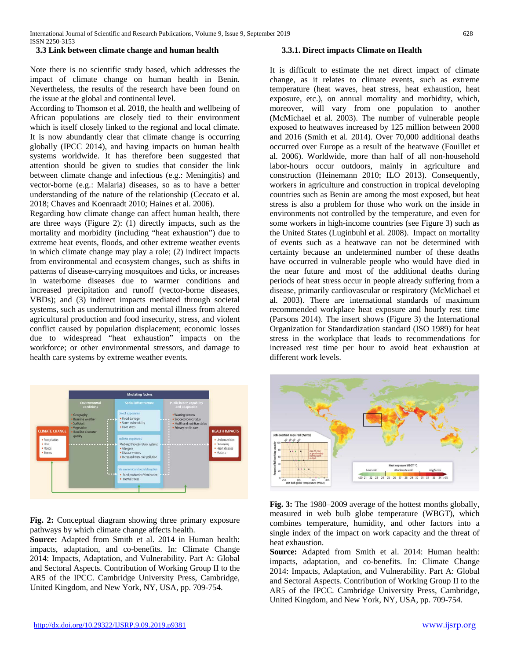#### **3.3 Link between climate change and human health**

Note there is no scientific study based, which addresses the impact of climate change on human health in Benin. Nevertheless, the results of the research have been found on the issue at the global and continental level.

According to Thomson et al. 2018, the health and wellbeing of African populations are closely tied to their environment which is itself closely linked to the regional and local climate. It is now abundantly clear that climate change is occurring globally (IPCC 2014), and having impacts on human health systems worldwide. It has therefore been suggested that attention should be given to studies that consider the link between climate change and infectious (e.g.: Meningitis) and vector-borne (e.g.: Malaria) diseases, so as to have a better understanding of the nature of the relationship (Ceccato et al. 2018; Chaves and Koenraadt 2010; Haines et al. 2006).

Regarding how climate change can affect human health, there are three ways (Figure 2): (1) directly impacts, such as the mortality and morbidity (including "heat exhaustion") due to extreme heat events, floods, and other extreme weather events in which climate change may play a role; (2) indirect impacts from environmental and ecosystem changes, such as shifts in patterns of disease-carrying mosquitoes and ticks, or increases in waterborne diseases due to warmer conditions and increased precipitation and runoff (vector-borne diseases, VBDs); and (3) indirect impacts mediated through societal systems, such as undernutrition and mental illness from altered agricultural production and food insecurity, stress, and violent conflict caused by population displacement; economic losses due to widespread "heat exhaustion" impacts on the workforce; or other environmental stressors, and damage to health care systems by extreme weather events.



**Fig. 2:** Conceptual diagram showing three primary exposure pathways by which climate change affects health.

**Source:** Adapted from Smith et al. 2014 in Human health: impacts, adaptation, and co-benefits. In: Climate Change 2014: Impacts, Adaptation, and Vulnerability. Part A: Global and Sectoral Aspects. Contribution of Working Group II to the AR5 of the IPCC. Cambridge University Press, Cambridge, United Kingdom, and New York, NY, USA, pp. 709-754.

#### **3.3.1. Direct impacts Climate on Health**

It is difficult to estimate the net direct impact of climate change, as it relates to climate events, such as extreme temperature (heat waves, heat stress, heat exhaustion, heat exposure, etc.), on annual mortality and morbidity, which, moreover, will vary from one population to another (McMichael et al. 2003). The number of vulnerable people exposed to heatwaves increased by 125 million between 2000 and 2016 (Smith et al. 2014). Over 70,000 additional deaths occurred over Europe as a result of the heatwave (Fouillet et al. 2006). Worldwide, more than half of all non-household labor-hours occur outdoors, mainly in agriculture and construction (Heinemann 2010; ILO 2013). Consequently, workers in agriculture and construction in tropical developing countries such as Benin are among the most exposed, but heat stress is also a problem for those who work on the inside in environments not controlled by the temperature, and even for some workers in high-income countries (see Figure 3) such as the United States (Luginbuhl et al. 2008). Impact on mortality of events such as a heatwave can not be determined with certainty because an undetermined number of these deaths have occurred in vulnerable people who would have died in the near future and most of the additional deaths during periods of heat stress occur in people already suffering from a disease, primarily cardiovascular or respiratory (McMichael et al. 2003). There are international standards of maximum recommended workplace heat exposure and hourly rest time (Parsons 2014). The insert shows (Figure 3) the International Organization for Standardization standard (ISO 1989) for heat stress in the workplace that leads to recommendations for increased rest time per hour to avoid heat exhaustion at different work levels.



**Fig. 3:** The 1980–2009 average of the hottest months globally, measured in web bulb globe temperature (WBGT), which combines temperature, humidity, and other factors into a single index of the impact on work capacity and the threat of heat exhaustion.

**Source:** Adapted from Smith et al. 2014: Human health: impacts, adaptation, and co-benefits. In: Climate Change 2014: Impacts, Adaptation, and Vulnerability. Part A: Global and Sectoral Aspects. Contribution of Working Group II to the AR5 of the IPCC. Cambridge University Press, Cambridge, United Kingdom, and New York, NY, USA, pp. 709-754.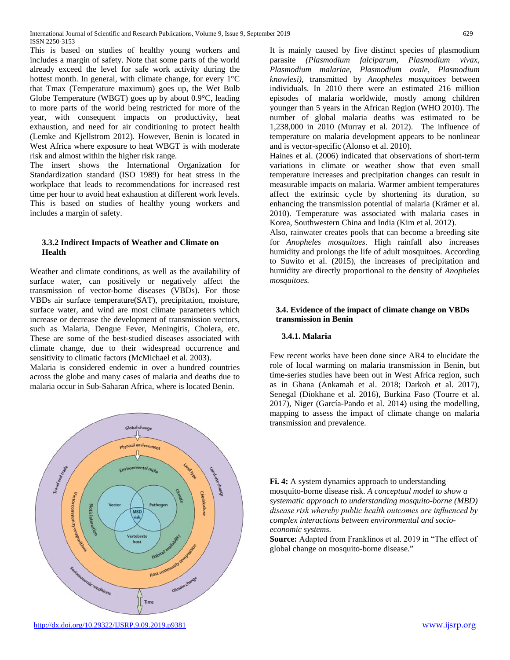This is based on studies of healthy young workers and includes a margin of safety. Note that some parts of the world already exceed the level for safe work activity during the hottest month. In general, with climate change, for every 1°C that Tmax (Temperature maximum) goes up, the Wet Bulb Globe Temperature (WBGT) goes up by about 0.9°C, leading to more parts of the world being restricted for more of the year, with consequent impacts on productivity, heat exhaustion, and need for air conditioning to protect health (Lemke and Kjellstrom 2012). However, Benin is located in West Africa where exposure to heat WBGT is with moderate risk and almost within the higher risk range.

The insert shows the International Organization for Standardization standard (ISO 1989) for heat stress in the workplace that leads to recommendations for increased rest time per hour to avoid heat exhaustion at different work levels. This is based on studies of healthy young workers and includes a margin of safety.

#### **3.3.2 Indirect Impacts of Weather and Climate on Health**

Weather and climate conditions, as well as the availability of surface water, can positively or negatively affect the transmission of vector-borne diseases (VBDs). For those VBDs air surface temperature(SAT), precipitation, moisture, surface water, and wind are most climate parameters which increase or decrease the development of transmission vectors, such as Malaria, Dengue Fever, Meningitis, Cholera, etc. These are some of the best-studied diseases associated with climate change, due to their widespread occurrence and sensitivity to climatic factors (McMichael et al. 2003).

Malaria is considered endemic in over a hundred countries across the globe and many cases of malaria and deaths due to malaria occur in Sub-Saharan Africa, where is located Benin.

Traveland House ental nich **Chemical use** Pathone Vecto **MBD** Vertebrati Climate change omic conditions Time

<http://dx.doi.org/10.29322/IJSRP.9.09.2019.p9381> [www.ijsrp.org](http://ijsrp.org/)

It is mainly caused by five distinct species of plasmodium parasite *(Plasmodium falciparum, Plasmodium vivax, Plasmodium malariae, Plasmodium ovale, Plasmodium knowlesi),* transmitted by *Anopheles mosquitoes* between individuals. In 2010 there were an estimated 216 million episodes of malaria worldwide, mostly among children younger than 5 years in the African Region (WHO 2010). The number of global malaria deaths was estimated to be 1,238,000 in 2010 (Murray et al. 2012). The influence of temperature on malaria development appears to be nonlinear and is vector-specific (Alonso et al. 2010).

Haines et al. (2006) indicated that observations of short-term variations in climate or weather show that even small temperature increases and precipitation changes can result in measurable impacts on malaria. Warmer ambient temperatures affect the extrinsic cycle by shortening its duration, so enhancing the transmission potential of malaria (Krämer et al. 2010). Temperature was associated with malaria cases in Korea, Southwestern China and India (Kim et al. 2012).

Also, rainwater creates pools that can become a breeding site for *Anopheles mosquitoes*. High rainfall also increases humidity and prolongs the life of adult mosquitoes. According to Suwito et al. (2015), the increases of precipitation and humidity are directly proportional to the density of *Anopheles mosquitoes.*

## **3.4. Evidence of the impact of climate change on VBDs transmission in Benin**

## **3.4.1. Malaria**

Few recent works have been done since AR4 to elucidate the role of local warming on malaria transmission in Benin, but time-series studies have been out in West Africa region, such as in Ghana (Ankamah et al. 2018; Darkoh et al. 2017), Senegal (Diokhane et al. 2016), Burkina Faso (Tourre et al. 2017), Niger (García-Pando et al. 2014) using the modelling, mapping to assess the impact of climate change on malaria transmission and prevalence.

**Fi. 4:** A system dynamics approach to understanding mosquito-borne disease risk. *A conceptual model to show a systematic approach to understanding mosquito-borne (MBD) disease risk whereby public health outcomes are influenced by complex interactions between environmental and socioeconomic systems.*

**Source:** Adapted from Franklinos et al. 2019 in "The effect of global change on mosquito-borne disease."

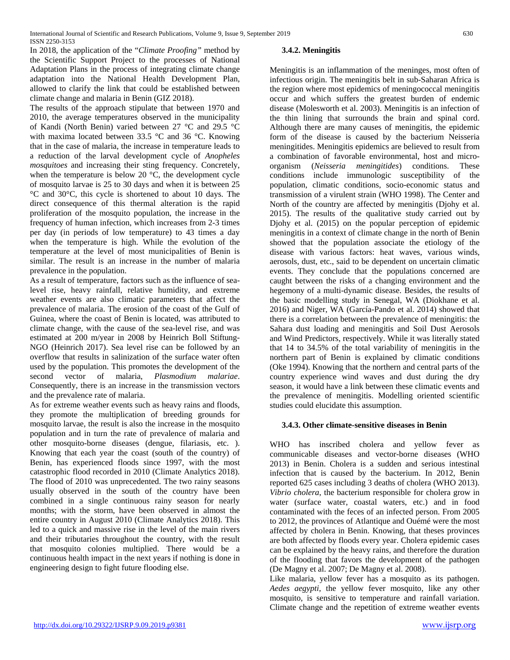In 2018, the application of the "*Climate Proofing"* method by the Scientific Support Project to the processes of National Adaptation Plans in the process of integrating climate change adaptation into the National Health Development Plan, allowed to clarify the link that could be established between climate change and malaria in Benin (GIZ 2018).

The results of the approach stipulate that between 1970 and 2010, the average temperatures observed in the municipality of Kandi (North Benin) varied between 27 °C and 29.5 °C with maxima located between 33.5 °C and 36 °C. Knowing that in the case of malaria, the increase in temperature leads to a reduction of the larval development cycle of *Anopheles mosquitoes* and increasing their sting frequency. Concretely, when the temperature is below 20 °C, the development cycle of mosquito larvae is 25 to 30 days and when it is between 25 °C and 30°C, this cycle is shortened to about 10 days. The direct consequence of this thermal alteration is the rapid proliferation of the mosquito population, the increase in the frequency of human infection, which increases from 2-3 times per day (in periods of low temperature) to 43 times a day when the temperature is high. While the evolution of the temperature at the level of most municipalities of Benin is similar. The result is an increase in the number of malaria prevalence in the population.

As a result of temperature, factors such as the influence of sealevel rise, heavy rainfall, relative humidity, and extreme weather events are also climatic parameters that affect the prevalence of malaria. The erosion of the coast of the Gulf of Guinea, where the coast of Benin is located, was attributed to climate change, with the cause of the sea-level rise, and was estimated at 200 m/year in 2008 by Heinrich Boll Stiftung-NGO (Heinrich 2017). Sea level rise can be followed by an overflow that results in salinization of the surface water often used by the population. This promotes the development of the second vector of malaria, *Plasmodium malariae*. Consequently, there is an increase in the transmission vectors and the prevalence rate of malaria.

As for extreme weather events such as heavy rains and floods, they promote the multiplication of breeding grounds for mosquito larvae, the result is also the increase in the mosquito population and in turn the rate of prevalence of malaria and other mosquito-borne diseases (dengue, filariasis, etc. ). Knowing that each year the coast (south of the country) of Benin, has experienced floods since 1997, with the most catastrophic flood recorded in 2010 (Climate Analytics 2018). The flood of 2010 was unprecedented. The two rainy seasons usually observed in the south of the country have been combined in a single continuous rainy season for nearly months; with the storm, have been observed in almost the entire country in August 2010 (Climate Analytics 2018). This led to a quick and massive rise in the level of the main rivers and their tributaries throughout the country, with the result that mosquito colonies multiplied. There would be a continuous health impact in the next years if nothing is done in engineering design to fight future flooding else.

#### **3.4.2. Meningitis**

Meningitis is an inflammation of the meninges, most often of infectious origin. The meningitis belt in sub-Saharan Africa is the region where most epidemics of meningococcal meningitis occur and which suffers the greatest burden of endemic disease (Molesworth et al. 2003). Meningitis is an infection of the thin lining that surrounds the brain and spinal cord. Although there are many causes of meningitis, the epidemic form of the disease is caused by the bacterium Neisseria meningitides. Meningitis epidemics are believed to result from a combination of favorable environmental, host and microorganism (*Neisseria meningitides*) conditions. These conditions include immunologic susceptibility of the population, climatic conditions, socio-economic status and transmission of a virulent strain (WHO 1998). The Center and North of the country are affected by meningitis (Djohy et al. 2015). The results of the qualitative study carried out by Djohy et al. (2015) on the popular perception of epidemic meningitis in a context of climate change in the north of Benin showed that the population associate the etiology of the disease with various factors: heat waves, various winds, aerosols, dust, etc., said to be dependent on uncertain climatic events. They conclude that the populations concerned are caught between the risks of a changing environment and the hegemony of a multi-dynamic disease. Besides, the results of the basic modelling study in Senegal, WA (Diokhane et al. 2016) and Niger, WA (García-Pando et al. 2014) showed that there is a correlation between the prevalence of meningitis: the Sahara dust loading and meningitis and Soil Dust Aerosols and Wind Predictors, respectively. While it was literally stated that 14 to 34.5% of the total variability of meningitis in the northern part of Benin is explained by climatic conditions (Oke 1994). Knowing that the northern and central parts of the country experience wind waves and dust during the dry season, it would have a link between these climatic events and the prevalence of meningitis. Modelling oriented scientific studies could elucidate this assumption.

#### **3.4.3. Other climate-sensitive diseases in Benin**

WHO has inscribed cholera and yellow fever as communicable diseases and vector-borne diseases (WHO 2013) in Benin. Cholera is a sudden and serious intestinal infection that is caused by the bacterium. In 2012, Benin reported 625 cases including 3 deaths of cholera (WHO 2013). *Vibrio cholera*, the bacterium responsible for cholera grow in water (surface water, coastal waters, etc.) and in food contaminated with the feces of an infected person. From 2005 to 2012, the provinces of Atlantique and Ouémé were the most affected by cholera in Benin. Knowing, that theses provinces are both affected by floods every year. Cholera epidemic cases can be explained by the heavy rains, and therefore the duration of the flooding that favors the development of the pathogen (De Magny et al. 2007; De Magny et al. 2008).

Like malaria, yellow fever has a mosquito as its pathogen. *Aedes aegypti,* the yellow fever mosquito, like any other mosquito, is sensitive to temperature and rainfall variation. Climate change and the repetition of extreme weather events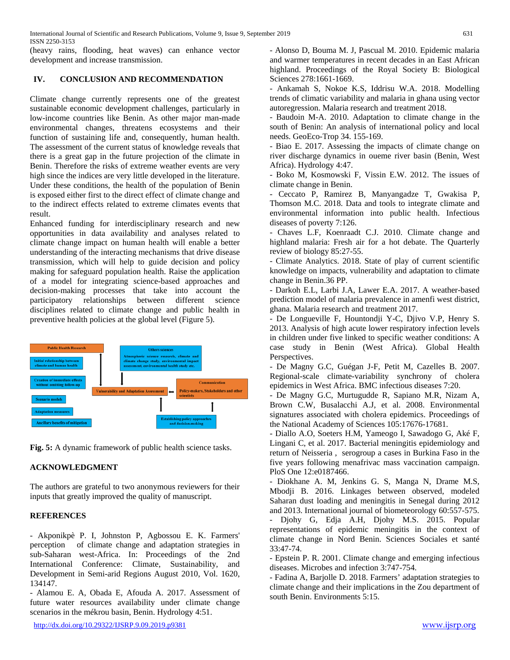(heavy rains, flooding, heat waves) can enhance vector development and increase transmission.

## **IV. CONCLUSION AND RECOMMENDATION**

Climate change currently represents one of the greatest sustainable economic development challenges, particularly in low-income countries like Benin. As other major man-made environmental changes, threatens ecosystems and their function of sustaining life and, consequently, human health. The assessment of the current status of knowledge reveals that there is a great gap in the future projection of the climate in Benin. Therefore the risks of extreme weather events are very high since the indices are very little developed in the literature. Under these conditions, the health of the population of Benin is exposed either first to the direct effect of climate change and to the indirect effects related to extreme climates events that result.

Enhanced funding for interdisciplinary research and new opportunities in data availability and analyses related to climate change impact on human health will enable a better understanding of the interacting mechanisms that drive disease transmission, which will help to guide decision and policy making for safeguard population health. Raise the application of a model for integrating science-based approaches and decision-making processes that take into account the participatory relationships between different science disciplines related to climate change and public health in preventive health policies at the global level (Figure 5).



**Fig. 5:** A dynamic framework of public health science tasks.

## **ACKNOWLEDGMENT**

The authors are grateful to two anonymous reviewers for their inputs that greatly improved the quality of manuscript.

## **REFERENCES**

- Akponikpè P. I, Johnston P, Agbossou E. K. Farmers' perception of climate change and adaptation strategies in sub-Saharan west-Africa. In: Proceedings of the 2nd International Conference: Climate, Sustainability, and Development in Semi-arid Regions August 2010, Vol. 1620, 134147.

- Alamou E. A, Obada E, Afouda A. 2017. Assessment of future water resources availability under climate change scenarios in the mékrou basin, Benin. Hydrology 4:51.

- Alonso D, Bouma M. J, Pascual M. 2010. Epidemic malaria and warmer temperatures in recent decades in an East African highland. Proceedings of the Royal Society B: Biological Sciences 278:1661-1669.

- Ankamah S, Nokoe K.S, Iddrisu W.A. 2018. Modelling trends of climatic variability and malaria in ghana using vector autoregression. Malaria research and treatment 2018.

- Baudoin M-A. 2010. Adaptation to climate change in the south of Benin: An analysis of international policy and local needs. GeoEco-Trop 34. 155-169.

- Biao E. 2017. Assessing the impacts of climate change on river discharge dynamics in oueme river basin (Benin, West Africa). Hydrology 4:47.

- Boko M, Kosmowski F, Vissin E.W. 2012. The issues of climate change in Benin.

- Ceccato P, Ramirez B, Manyangadze T, Gwakisa P, Thomson M.C. 2018. Data and tools to integrate climate and environmental information into public health. Infectious diseases of poverty 7:126.

- Chaves L.F, Koenraadt C.J. 2010. Climate change and highland malaria: Fresh air for a hot debate. The Quarterly review of biology 85:27-55.

- Climate Analytics. 2018. State of play of current scientific knowledge on impacts, vulnerability and adaptation to climate change in Benin.36 PP.

- Darkoh E.L, Larbi J.A, Lawer E.A. 2017. A weather-based prediction model of malaria prevalence in amenfi west district, ghana. Malaria research and treatment 2017.

- De Longueville F, Hountondji Y-C, Djivo V.P, Henry S. 2013. Analysis of high acute lower respiratory infection levels in children under five linked to specific weather conditions: A case study in Benin (West Africa). Global Health Perspectives.

- De Magny G.C, Guégan J-F, Petit M, Cazelles B. 2007. Regional-scale climate-variability synchrony of cholera epidemics in West Africa. BMC infectious diseases 7:20.

- De Magny G.C, Murtugudde R, Sapiano M.R, Nizam A, Brown C.W, Busalacchi A.J, et al. 2008. Environmental signatures associated with cholera epidemics. Proceedings of the National Academy of Sciences 105:17676-17681.

- Diallo A.O, Soeters H.M, Yameogo I, Sawadogo G, Aké F, Lingani C, et al. 2017. Bacterial meningitis epidemiology and return of Neisseria , serogroup a cases in Burkina Faso in the five years following menafrivac mass vaccination campaign. PloS One 12:e0187466.

- Diokhane A. M, Jenkins G. S, Manga N, Drame M.S, Mbodji B. 2016. Linkages between observed, modeled Saharan dust loading and meningitis in Senegal during 2012 and 2013. International journal of biometeorology 60:557-575. - Djohy G, Edja A.H, Djohy M.S. 2015. Popular representations of epidemic meningitis in the context of climate change in Nord Benin. Sciences Sociales et santé

33:47-74. - Epstein P. R. 2001. Climate change and emerging infectious diseases. Microbes and infection 3:747-754.

- Fadina A, Barjolle D. 2018. Farmers' adaptation strategies to climate change and their implications in the Zou department of south Benin. Environments 5:15.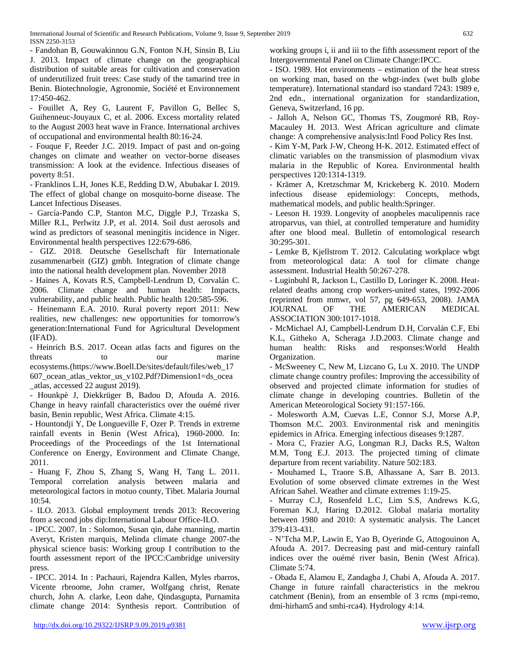- Fandohan B, Gouwakinnou G.N, Fonton N.H, Sinsin B, Liu J. 2013. Impact of climate change on the geographical distribution of suitable areas for cultivation and conservation of underutilized fruit trees: Case study of the tamarind tree in Benin. Biotechnologie, Agronomie, Société et Environnement 17:450-462.

- Fouillet A, Rey G, Laurent F, Pavillon G, Bellec S, Guihenneuc-Jouyaux C, et al. 2006. Excess mortality related to the August 2003 heat wave in France. International archives of occupational and environmental health 80:16-24.

- Fouque F, Reeder J.C. 2019. Impact of past and on-going changes on climate and weather on vector-borne diseases transmission: A look at the evidence. Infectious diseases of poverty 8:51.

- Franklinos L.H, Jones K.E, Redding D.W, Abubakar I. 2019. The effect of global change on mosquito-borne disease. The Lancet Infectious Diseases.

- García-Pando C.P, Stanton M.C, Diggle P.J, Trzaska S, Miller R.L, Perlwitz J.P, et al. 2014. Soil dust aerosols and wind as predictors of seasonal meningitis incidence in Niger. Environmental health perspectives 122:679-686.

- GIZ. 2018. Deutsche Gesellschaft für Internationale zusammenarbeit (GIZ) gmbh. Integration of climate change into the national health development plan. November 2018

- Haines A, Kovats R.S, Campbell-Lendrum D, Corvalán C. 2006. Climate change and human health: Impacts, vulnerability, and public health. Public health 120:585-596.

- Heinemann E.A. 2010. Rural poverty report 2011: New realities, new challenges: new opportunities for tomorrow's generation:International Fund for Agricultural Development (IFAD).

- Heinrich B.S. 2017. Ocean atlas facts and figures on the threats to our marine ecosystems.[\(https://www.Boell.De/sites/default/files/web\\_17](https://www.boell.de/sites/default/files/web_17) 607\_ocean\_atlas\_vektor\_us\_v102.Pdf?Dimension1=ds\_ocea \_atlas, accessed 22 august 2019).

- Hounkpè J, Diekkrüger B, Badou D, Afouda A. 2016. Change in heavy rainfall characteristics over the ouémé river basin, Benin republic, West Africa. Climate 4:15.

- Hountondji Y, De Longueville F, Ozer P. Trends in extreme rainfall events in Benin (West Africa), 1960-2000. In: Proceedings of the Proceedings of the 1st International Conference on Energy, Environment and Climate Change, 2011.

- Huang F, Zhou S, Zhang S, Wang H, Tang L. 2011. Temporal correlation analysis between malaria and meteorological factors in motuo county, Tibet. Malaria Journal 10:54.

- ILO. 2013. Global employment trends 2013: Recovering from a second jobs dip:International Labour Office-ILO.

- IPCC. 2007. In : Solomon, Susan qin, dahe manning, martin Averyt, Kristen marquis, Melinda climate change 2007-the physical science basis: Working group I contribution to the fourth assessment report of the IPCC:Cambridge university press.

- IPCC. 2014. In : Pachauri, Rajendra Kallen, Myles rbarros, Vicente rbroome, John cramer, Wolfgang christ, Renate church, John A. clarke, Leon dahe, Qindasgupta, Purnamita climate change 2014: Synthesis report. Contribution of

working groups i, ii and iii to the fifth assessment report of the Intergovernmental Panel on Climate Change:IPCC.

- ISO. 1989. Hot environments – estimation of the heat stress on working man, based on the wbgt-index (wet bulb globe temperature). International standard iso standard 7243: 1989 e, 2nd edn., international organization for standardization, Geneva, Switzerland, 16 pp.

- Jalloh A, Nelson GC, Thomas TS, Zougmoré RB, Roy-Macauley H. 2013. West African agriculture and climate change: A comprehensive analysis:Intl Food Policy Res Inst.

- Kim Y-M, Park J-W, Cheong H-K. 2012. Estimated effect of climatic variables on the transmission of plasmodium vivax malaria in the Republic of Korea. Environmental health perspectives 120:1314-1319.

- Krämer A, Kretzschmar M, Krickeberg K. 2010. Modern infectious disease epidemiology: Concepts, methods, mathematical models, and public health:Springer.

- Leeson H. 1939. Longevity of anopheles maculipennis race atroparvus, van thiel, at controlled temperature and humidity after one blood meal. Bulletin of entomological research 30:295-301.

- Lemke B, Kjellstrom T. 2012. Calculating workplace wbgt from meteorological data: A tool for climate change assessment. Industrial Health 50:267-278.

- Luginbuhl R, Jackson L, Castillo D, Loringer K. 2008. Heatrelated deaths among crop workers-united states, 1992-2006 (reprinted from mmwr, vol 57, pg 649-653, 2008). JAMA JOURNAL OF THE AMERICAN MEDICAL ASSOCIATION 300:1017-1018.

- McMichael AJ, Campbell-Lendrum D.H, Corvalán C.F, Ebi K.L, Githeko A, Scheraga J.D.2003. Climate change and human health: Risks and responses:World Health Organization.

- McSweeney C, New M, Lizcano G, Lu X. 2010. The UNDP climate change country profiles: Improving the accessibility of observed and projected climate information for studies of climate change in developing countries. Bulletin of the American Meteorological Society 91:157-166.

- Molesworth A.M, Cuevas L.E, Connor S.J, Morse A.P, Thomson M.C. 2003. Environmental risk and meningitis epidemics in Africa. Emerging infectious diseases 9:1287.

- Mora C, Frazier A.G, Longman R.J, Dacks R.S, Walton M.M, Tong E.J. 2013. The projected timing of climate departure from recent variability. Nature 502:183.

- Mouhamed L, Traore S.B, Alhassane A, Sarr B. 2013. Evolution of some observed climate extremes in the West African Sahel. Weather and climate extremes 1:19-25.

- Murray C.J, Rosenfeld L.C, Lim S.S, Andrews K.G, Foreman K.J, Haring D.2012. Global malaria mortality between 1980 and 2010: A systematic analysis. The Lancet 379:413-431.

- N'Tcha M.P, Lawin E, Yao B, Oyerinde G, Attogouinon A, Afouda A. 2017. Decreasing past and mid-century rainfall indices over the ouémé river basin, Benin (West Africa). Climate 5:74.

- Obada E, Alamou E, Zandagba J, Chabi A, Afouda A. 2017. Change in future rainfall characteristics in the mekrou catchment (Benin), from an ensemble of 3 rcms (mpi-remo, dmi-hirham5 and smhi-rca4). Hydrology 4:14.